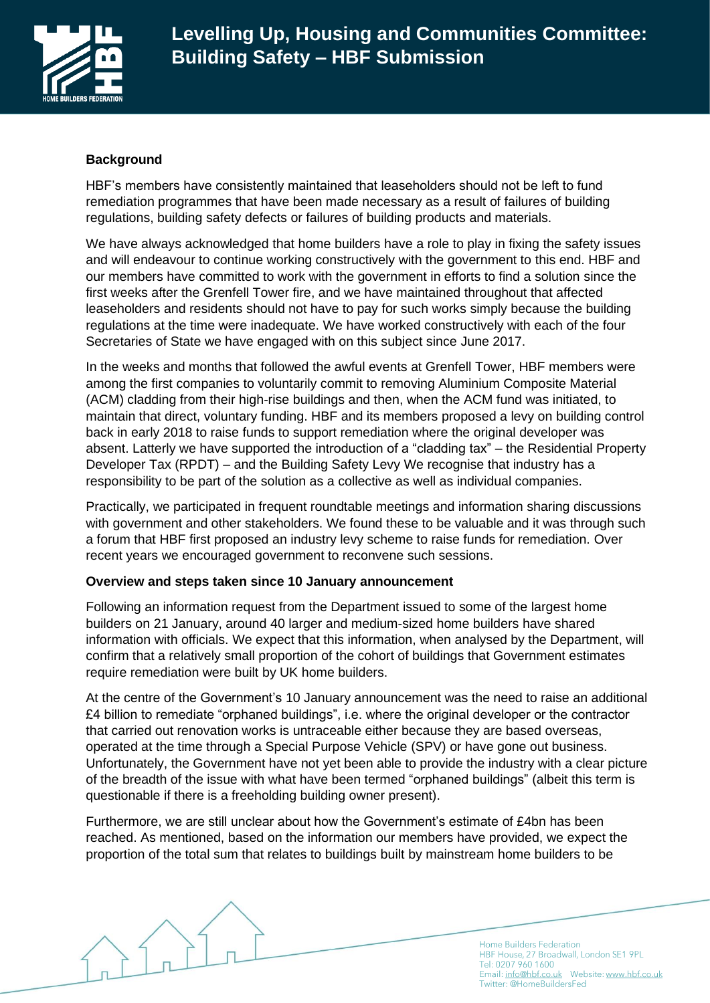

# **Background**

HBF's members have consistently maintained that leaseholders should not be left to fund remediation programmes that have been made necessary as a result of failures of building regulations, building safety defects or failures of building products and materials.

We have always acknowledged that home builders have a role to play in fixing the safety issues and will endeavour to continue working constructively with the government to this end. HBF and our members have committed to work with the government in efforts to find a solution since the first weeks after the Grenfell Tower fire, and we have maintained throughout that affected leaseholders and residents should not have to pay for such works simply because the building regulations at the time were inadequate. We have worked constructively with each of the four Secretaries of State we have engaged with on this subject since June 2017.

In the weeks and months that followed the awful events at Grenfell Tower, HBF members were among the first companies to voluntarily commit to removing Aluminium Composite Material (ACM) cladding from their high-rise buildings and then, when the ACM fund was initiated, to maintain that direct, voluntary funding. HBF and its members proposed a levy on building control back in early 2018 to raise funds to support remediation where the original developer was absent. Latterly we have supported the introduction of a "cladding tax" – the Residential Property Developer Tax (RPDT) – and the Building Safety Levy We recognise that industry has a responsibility to be part of the solution as a collective as well as individual companies.

Practically, we participated in frequent roundtable meetings and information sharing discussions with government and other stakeholders. We found these to be valuable and it was through such a forum that HBF first proposed an industry levy scheme to raise funds for remediation. Over recent years we encouraged government to reconvene such sessions.

# **Overview and steps taken since 10 January announcement**

Following an information request from the Department issued to some of the largest home builders on 21 January, around 40 larger and medium-sized home builders have shared information with officials. We expect that this information, when analysed by the Department, will confirm that a relatively small proportion of the cohort of buildings that Government estimates require remediation were built by UK home builders.

At the centre of the Government's 10 January announcement was the need to raise an additional £4 billion to remediate "orphaned buildings", i.e. where the original developer or the contractor that carried out renovation works is untraceable either because they are based overseas, operated at the time through a Special Purpose Vehicle (SPV) or have gone out business. Unfortunately, the Government have not yet been able to provide the industry with a clear picture of the breadth of the issue with what have been termed "orphaned buildings" (albeit this term is questionable if there is a freeholding building owner present).

Furthermore, we are still unclear about how the Government's estimate of £4bn has been reached. As mentioned, based on the information our members have provided, we expect the proportion of the total sum that relates to buildings built by mainstream home builders to be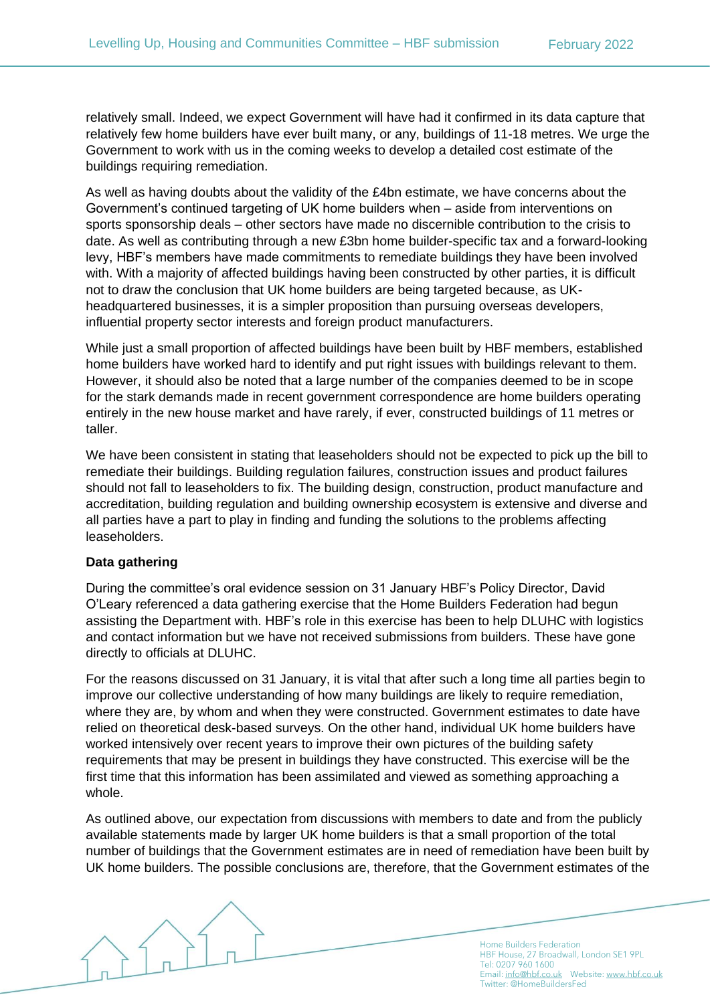relatively small. Indeed, we expect Government will have had it confirmed in its data capture that relatively few home builders have ever built many, or any, buildings of 11-18 metres. We urge the Government to work with us in the coming weeks to develop a detailed cost estimate of the buildings requiring remediation.

As well as having doubts about the validity of the £4bn estimate, we have concerns about the Government's continued targeting of UK home builders when – aside from interventions on sports sponsorship deals – other sectors have made no discernible contribution to the crisis to date. As well as contributing through a new £3bn home builder-specific tax and a forward-looking levy, HBF's members have made commitments to remediate buildings they have been involved with. With a majority of affected buildings having been constructed by other parties, it is difficult not to draw the conclusion that UK home builders are being targeted because, as UKheadquartered businesses, it is a simpler proposition than pursuing overseas developers, influential property sector interests and foreign product manufacturers.

While just a small proportion of affected buildings have been built by HBF members, established home builders have worked hard to identify and put right issues with buildings relevant to them. However, it should also be noted that a large number of the companies deemed to be in scope for the stark demands made in recent government correspondence are home builders operating entirely in the new house market and have rarely, if ever, constructed buildings of 11 metres or taller.

We have been consistent in stating that leaseholders should not be expected to pick up the bill to remediate their buildings. Building regulation failures, construction issues and product failures should not fall to leaseholders to fix. The building design, construction, product manufacture and accreditation, building regulation and building ownership ecosystem is extensive and diverse and all parties have a part to play in finding and funding the solutions to the problems affecting leaseholders.

### **Data gathering**

During the committee's oral evidence session on 31 January HBF's Policy Director, David O'Leary referenced a data gathering exercise that the Home Builders Federation had begun assisting the Department with. HBF's role in this exercise has been to help DLUHC with logistics and contact information but we have not received submissions from builders. These have gone directly to officials at DLUHC.

For the reasons discussed on 31 January, it is vital that after such a long time all parties begin to improve our collective understanding of how many buildings are likely to require remediation, where they are, by whom and when they were constructed. Government estimates to date have relied on theoretical desk-based surveys. On the other hand, individual UK home builders have worked intensively over recent years to improve their own pictures of the building safety requirements that may be present in buildings they have constructed. This exercise will be the first time that this information has been assimilated and viewed as something approaching a whole.

As outlined above, our expectation from discussions with members to date and from the publicly available statements made by larger UK home builders is that a small proportion of the total number of buildings that the Government estimates are in need of remediation have been built by UK home builders. The possible conclusions are, therefore, that the Government estimates of the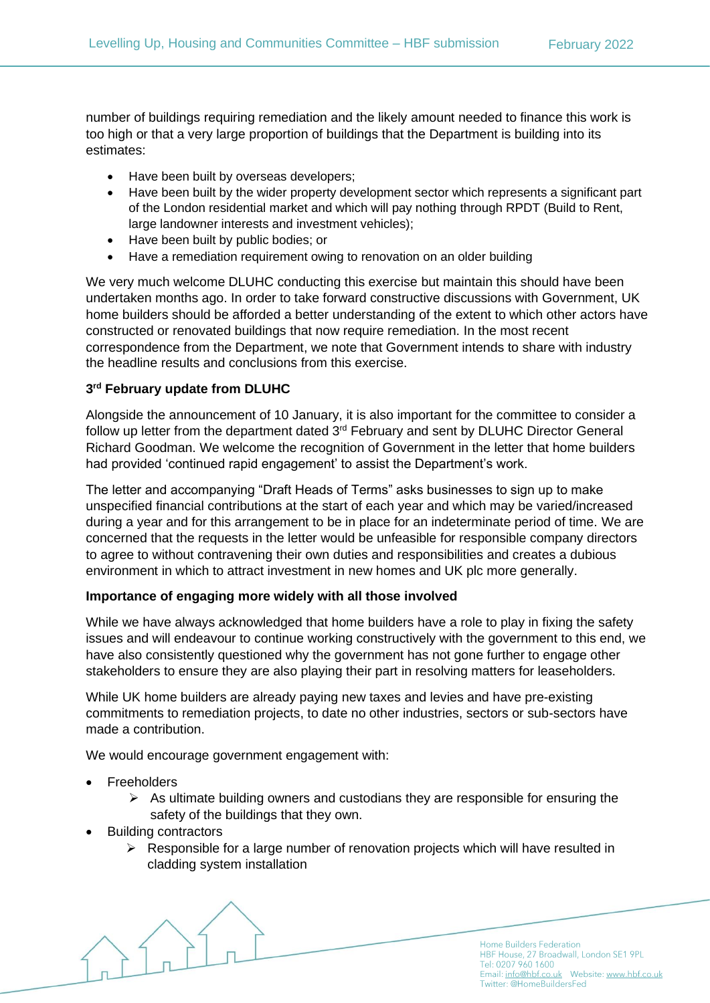number of buildings requiring remediation and the likely amount needed to finance this work is too high or that a very large proportion of buildings that the Department is building into its estimates:

- Have been built by overseas developers;
- Have been built by the wider property development sector which represents a significant part of the London residential market and which will pay nothing through RPDT (Build to Rent, large landowner interests and investment vehicles);
- Have been built by public bodies; or
- Have a remediation requirement owing to renovation on an older building

We very much welcome DLUHC conducting this exercise but maintain this should have been undertaken months ago. In order to take forward constructive discussions with Government, UK home builders should be afforded a better understanding of the extent to which other actors have constructed or renovated buildings that now require remediation. In the most recent correspondence from the Department, we note that Government intends to share with industry the headline results and conclusions from this exercise.

## **3 rd February update from DLUHC**

Alongside the announcement of 10 January, it is also important for the committee to consider a follow up letter from the department dated 3<sup>rd</sup> February and sent by DLUHC Director General Richard Goodman. We welcome the recognition of Government in the letter that home builders had provided 'continued rapid engagement' to assist the Department's work.

The letter and accompanying "Draft Heads of Terms" asks businesses to sign up to make unspecified financial contributions at the start of each year and which may be varied/increased during a year and for this arrangement to be in place for an indeterminate period of time. We are concerned that the requests in the letter would be unfeasible for responsible company directors to agree to without contravening their own duties and responsibilities and creates a dubious environment in which to attract investment in new homes and UK plc more generally.

### **Importance of engaging more widely with all those involved**

While we have always acknowledged that home builders have a role to play in fixing the safety issues and will endeavour to continue working constructively with the government to this end, we have also consistently questioned why the government has not gone further to engage other stakeholders to ensure they are also playing their part in resolving matters for leaseholders.

While UK home builders are already paying new taxes and levies and have pre-existing commitments to remediation projects, to date no other industries, sectors or sub-sectors have made a contribution.

We would encourage government engagement with:

- **Freeholders** 
	- $\triangleright$  As ultimate building owners and custodians they are responsible for ensuring the safety of the buildings that they own.
- Building contractors
	- $\triangleright$  Responsible for a large number of renovation projects which will have resulted in cladding system installation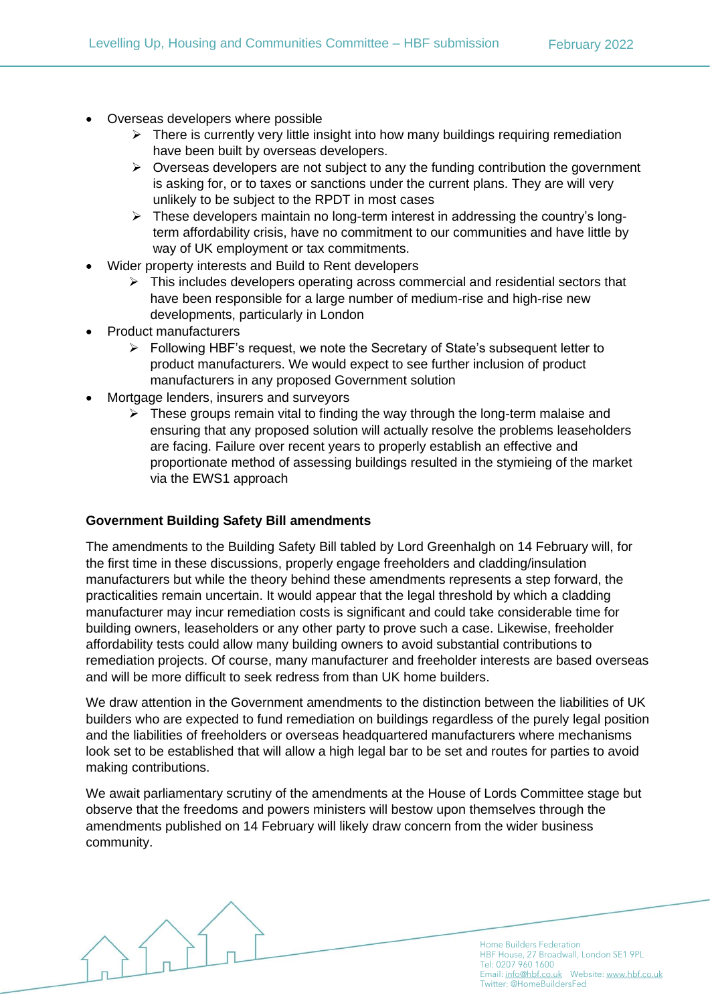- Overseas developers where possible
	- $\triangleright$  There is currently very little insight into how many buildings requiring remediation have been built by overseas developers.
	- $\triangleright$  Overseas developers are not subject to any the funding contribution the government is asking for, or to taxes or sanctions under the current plans. They are will very unlikely to be subject to the RPDT in most cases
	- $\triangleright$  These developers maintain no long-term interest in addressing the country's longterm affordability crisis, have no commitment to our communities and have little by way of UK employment or tax commitments.
- Wider property interests and Build to Rent developers
	- $\triangleright$  This includes developers operating across commercial and residential sectors that have been responsible for a large number of medium-rise and high-rise new developments, particularly in London
- Product manufacturers
	- ➢ Following HBF's request, we note the Secretary of State's subsequent letter to product manufacturers. We would expect to see further inclusion of product manufacturers in any proposed Government solution
- Mortgage lenders, insurers and surveyors
	- ➢ These groups remain vital to finding the way through the long-term malaise and ensuring that any proposed solution will actually resolve the problems leaseholders are facing. Failure over recent years to properly establish an effective and proportionate method of assessing buildings resulted in the stymieing of the market via the EWS1 approach

# **Government Building Safety Bill amendments**

The amendments to the Building Safety Bill tabled by Lord Greenhalgh on 14 February will, for the first time in these discussions, properly engage freeholders and cladding/insulation manufacturers but while the theory behind these amendments represents a step forward, the practicalities remain uncertain. It would appear that the legal threshold by which a cladding manufacturer may incur remediation costs is significant and could take considerable time for building owners, leaseholders or any other party to prove such a case. Likewise, freeholder affordability tests could allow many building owners to avoid substantial contributions to remediation projects. Of course, many manufacturer and freeholder interests are based overseas and will be more difficult to seek redress from than UK home builders.

We draw attention in the Government amendments to the distinction between the liabilities of UK builders who are expected to fund remediation on buildings regardless of the purely legal position and the liabilities of freeholders or overseas headquartered manufacturers where mechanisms look set to be established that will allow a high legal bar to be set and routes for parties to avoid making contributions.

We await parliamentary scrutiny of the amendments at the House of Lords Committee stage but observe that the freedoms and powers ministers will bestow upon themselves through the amendments published on 14 February will likely draw concern from the wider business community.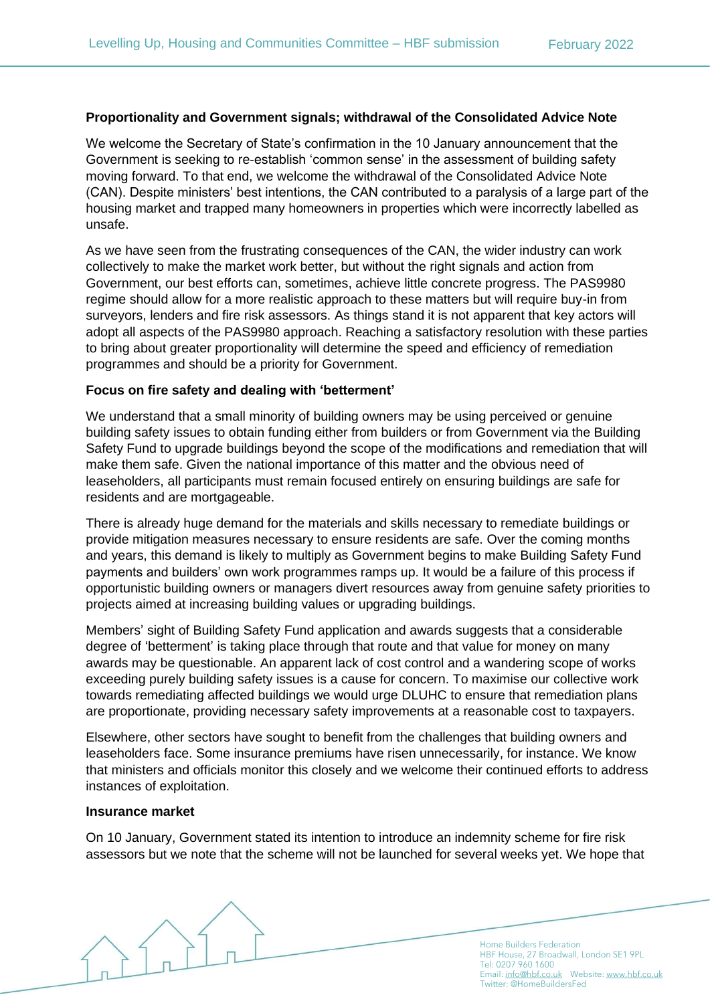# **Proportionality and Government signals; withdrawal of the Consolidated Advice Note**

We welcome the Secretary of State's confirmation in the 10 January announcement that the Government is seeking to re-establish 'common sense' in the assessment of building safety moving forward. To that end, we welcome the withdrawal of the Consolidated Advice Note (CAN). Despite ministers' best intentions, the CAN contributed to a paralysis of a large part of the housing market and trapped many homeowners in properties which were incorrectly labelled as unsafe.

As we have seen from the frustrating consequences of the CAN, the wider industry can work collectively to make the market work better, but without the right signals and action from Government, our best efforts can, sometimes, achieve little concrete progress. The PAS9980 regime should allow for a more realistic approach to these matters but will require buy-in from surveyors, lenders and fire risk assessors. As things stand it is not apparent that key actors will adopt all aspects of the PAS9980 approach. Reaching a satisfactory resolution with these parties to bring about greater proportionality will determine the speed and efficiency of remediation programmes and should be a priority for Government.

## **Focus on fire safety and dealing with 'betterment'**

We understand that a small minority of building owners may be using perceived or genuine building safety issues to obtain funding either from builders or from Government via the Building Safety Fund to upgrade buildings beyond the scope of the modifications and remediation that will make them safe. Given the national importance of this matter and the obvious need of leaseholders, all participants must remain focused entirely on ensuring buildings are safe for residents and are mortgageable.

There is already huge demand for the materials and skills necessary to remediate buildings or provide mitigation measures necessary to ensure residents are safe. Over the coming months and years, this demand is likely to multiply as Government begins to make Building Safety Fund payments and builders' own work programmes ramps up. It would be a failure of this process if opportunistic building owners or managers divert resources away from genuine safety priorities to projects aimed at increasing building values or upgrading buildings.

Members' sight of Building Safety Fund application and awards suggests that a considerable degree of 'betterment' is taking place through that route and that value for money on many awards may be questionable. An apparent lack of cost control and a wandering scope of works exceeding purely building safety issues is a cause for concern. To maximise our collective work towards remediating affected buildings we would urge DLUHC to ensure that remediation plans are proportionate, providing necessary safety improvements at a reasonable cost to taxpayers.

Elsewhere, other sectors have sought to benefit from the challenges that building owners and leaseholders face. Some insurance premiums have risen unnecessarily, for instance. We know that ministers and officials monitor this closely and we welcome their continued efforts to address instances of exploitation.

### **Insurance market**

On 10 January, Government stated its intention to introduce an indemnity scheme for fire risk assessors but we note that the scheme will not be launched for several weeks yet. We hope that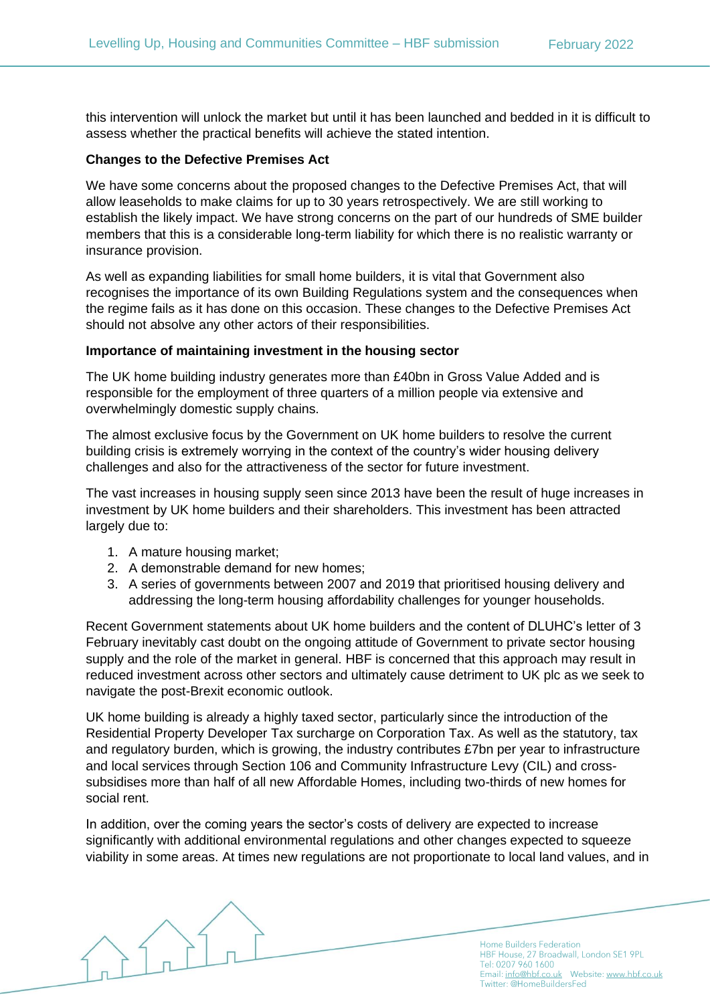this intervention will unlock the market but until it has been launched and bedded in it is difficult to assess whether the practical benefits will achieve the stated intention.

## **Changes to the Defective Premises Act**

We have some concerns about the proposed changes to the Defective Premises Act, that will allow leaseholds to make claims for up to 30 years retrospectively. We are still working to establish the likely impact. We have strong concerns on the part of our hundreds of SME builder members that this is a considerable long-term liability for which there is no realistic warranty or insurance provision.

As well as expanding liabilities for small home builders, it is vital that Government also recognises the importance of its own Building Regulations system and the consequences when the regime fails as it has done on this occasion. These changes to the Defective Premises Act should not absolve any other actors of their responsibilities.

### **Importance of maintaining investment in the housing sector**

The UK home building industry generates more than £40bn in Gross Value Added and is responsible for the employment of three quarters of a million people via extensive and overwhelmingly domestic supply chains.

The almost exclusive focus by the Government on UK home builders to resolve the current building crisis is extremely worrying in the context of the country's wider housing delivery challenges and also for the attractiveness of the sector for future investment.

The vast increases in housing supply seen since 2013 have been the result of huge increases in investment by UK home builders and their shareholders. This investment has been attracted largely due to:

- 1. A mature housing market;
- 2. A demonstrable demand for new homes;
- 3. A series of governments between 2007 and 2019 that prioritised housing delivery and addressing the long-term housing affordability challenges for younger households.

Recent Government statements about UK home builders and the content of DLUHC's letter of 3 February inevitably cast doubt on the ongoing attitude of Government to private sector housing supply and the role of the market in general. HBF is concerned that this approach may result in reduced investment across other sectors and ultimately cause detriment to UK plc as we seek to navigate the post-Brexit economic outlook.

UK home building is already a highly taxed sector, particularly since the introduction of the Residential Property Developer Tax surcharge on Corporation Tax. As well as the statutory, tax and regulatory burden, which is growing, the industry contributes £7bn per year to infrastructure and local services through Section 106 and Community Infrastructure Levy (CIL) and crosssubsidises more than half of all new Affordable Homes, including two-thirds of new homes for social rent.

In addition, over the coming years the sector's costs of delivery are expected to increase significantly with additional environmental regulations and other changes expected to squeeze viability in some areas. At times new regulations are not proportionate to local land values, and in